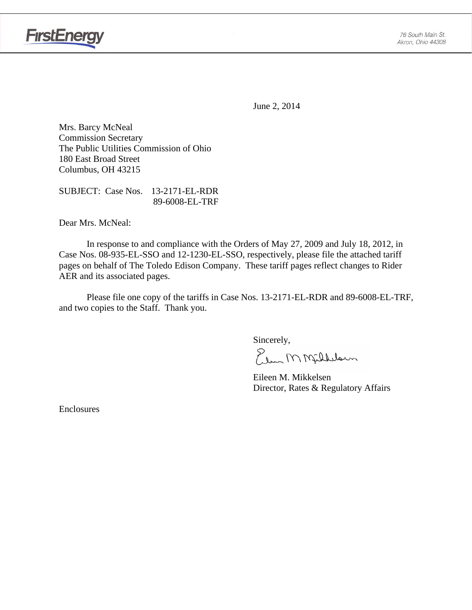

June 2, 2014

Mrs. Barcy McNeal Commission Secretary The Public Utilities Commission of Ohio 180 East Broad Street Columbus, OH 43215

SUBJECT: Case Nos. 13-2171-EL-RDR 89-6008-EL-TRF

Dear Mrs. McNeal:

 In response to and compliance with the Orders of May 27, 2009 and July 18, 2012, in Case Nos. 08-935-EL-SSO and 12-1230-EL-SSO, respectively, please file the attached tariff pages on behalf of The Toledo Edison Company. These tariff pages reflect changes to Rider AER and its associated pages.

Please file one copy of the tariffs in Case Nos. 13-2171-EL-RDR and 89-6008-EL-TRF, and two copies to the Staff. Thank you.

Sincerely,

Elem M Milleloun

 Eileen M. Mikkelsen Director, Rates & Regulatory Affairs

Enclosures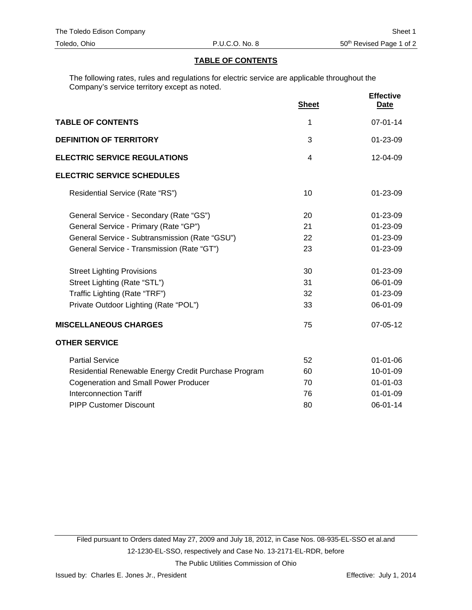#### **TABLE OF CONTENTS**

The following rates, rules and regulations for electric service are applicable throughout the Company's service territory except as noted.

|                                                      | <b>Sheet</b> | <b>Effective</b><br><u>Date</u> |
|------------------------------------------------------|--------------|---------------------------------|
| <b>TABLE OF CONTENTS</b>                             | 1            | $07 - 01 - 14$                  |
| <b>DEFINITION OF TERRITORY</b>                       | 3            | 01-23-09                        |
| <b>ELECTRIC SERVICE REGULATIONS</b>                  | 4            | 12-04-09                        |
| <b>ELECTRIC SERVICE SCHEDULES</b>                    |              |                                 |
| Residential Service (Rate "RS")                      | 10           | 01-23-09                        |
| General Service - Secondary (Rate "GS")              | 20           | 01-23-09                        |
| General Service - Primary (Rate "GP")                | 21           | 01-23-09                        |
| General Service - Subtransmission (Rate "GSU")       | 22           | 01-23-09                        |
| General Service - Transmission (Rate "GT")           | 23           | 01-23-09                        |
| <b>Street Lighting Provisions</b>                    | 30           | 01-23-09                        |
| Street Lighting (Rate "STL")                         | 31           | 06-01-09                        |
| Traffic Lighting (Rate "TRF")                        | 32           | 01-23-09                        |
| Private Outdoor Lighting (Rate "POL")                | 33           | 06-01-09                        |
| <b>MISCELLANEOUS CHARGES</b>                         | 75           | 07-05-12                        |
| <b>OTHER SERVICE</b>                                 |              |                                 |
| <b>Partial Service</b>                               | 52           | $01 - 01 - 06$                  |
| Residential Renewable Energy Credit Purchase Program | 60           | 10-01-09                        |
| <b>Cogeneration and Small Power Producer</b>         | 70           | $01 - 01 - 03$                  |
| <b>Interconnection Tariff</b>                        | 76           | $01 - 01 - 09$                  |
| <b>PIPP Customer Discount</b>                        | 80           | 06-01-14                        |

Filed pursuant to Orders dated May 27, 2009 and July 18, 2012, in Case Nos. 08-935-EL-SSO et al.and 12-1230-EL-SSO, respectively and Case No. 13-2171-EL-RDR, before The Public Utilities Commission of Ohio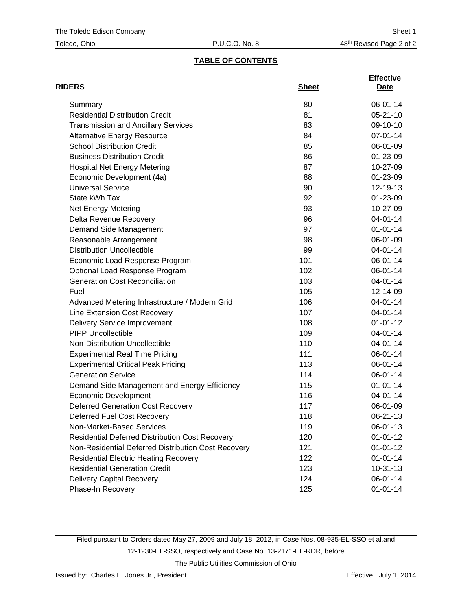## **TABLE OF CONTENTS**

| <b>RIDERS</b>                                          | <b>Sheet</b> | <b>Effective</b><br>Date |
|--------------------------------------------------------|--------------|--------------------------|
| Summary                                                | 80           | 06-01-14                 |
| <b>Residential Distribution Credit</b>                 | 81           | $05 - 21 - 10$           |
| <b>Transmission and Ancillary Services</b>             | 83           | 09-10-10                 |
| <b>Alternative Energy Resource</b>                     | 84           | 07-01-14                 |
| <b>School Distribution Credit</b>                      | 85           | 06-01-09                 |
| <b>Business Distribution Credit</b>                    | 86           | 01-23-09                 |
| <b>Hospital Net Energy Metering</b>                    | 87           | 10-27-09                 |
| Economic Development (4a)                              | 88           | 01-23-09                 |
| <b>Universal Service</b>                               | 90           | 12-19-13                 |
| State kWh Tax                                          | 92           | 01-23-09                 |
| Net Energy Metering                                    | 93           | 10-27-09                 |
| Delta Revenue Recovery                                 | 96           | 04-01-14                 |
| Demand Side Management                                 | 97           | $01 - 01 - 14$           |
| Reasonable Arrangement                                 | 98           | 06-01-09                 |
| <b>Distribution Uncollectible</b>                      | 99           | 04-01-14                 |
| Economic Load Response Program                         | 101          | 06-01-14                 |
| Optional Load Response Program                         | 102          | 06-01-14                 |
| <b>Generation Cost Reconciliation</b>                  | 103          | 04-01-14                 |
| Fuel                                                   | 105          | 12-14-09                 |
| Advanced Metering Infrastructure / Modern Grid         | 106          | 04-01-14                 |
| Line Extension Cost Recovery                           | 107          | 04-01-14                 |
| <b>Delivery Service Improvement</b>                    | 108          | $01 - 01 - 12$           |
| <b>PIPP Uncollectible</b>                              | 109          | 04-01-14                 |
| Non-Distribution Uncollectible                         | 110          | 04-01-14                 |
| <b>Experimental Real Time Pricing</b>                  | 111          | 06-01-14                 |
| <b>Experimental Critical Peak Pricing</b>              | 113          | 06-01-14                 |
| <b>Generation Service</b>                              | 114          | 06-01-14                 |
| Demand Side Management and Energy Efficiency           | 115          | $01 - 01 - 14$           |
| <b>Economic Development</b>                            | 116          | 04-01-14                 |
| <b>Deferred Generation Cost Recovery</b>               | 117          | 06-01-09                 |
| Deferred Fuel Cost Recovery                            | 118          | 06-21-13                 |
| Non-Market-Based Services                              | 119          | 06-01-13                 |
| <b>Residential Deferred Distribution Cost Recovery</b> | 120          | $01 - 01 - 12$           |
| Non-Residential Deferred Distribution Cost Recovery    | 121          | $01 - 01 - 12$           |
| <b>Residential Electric Heating Recovery</b>           | 122          | $01 - 01 - 14$           |
| <b>Residential Generation Credit</b>                   | 123          | $10-31-13$               |
| <b>Delivery Capital Recovery</b>                       | 124          | 06-01-14                 |
| Phase-In Recovery                                      | 125          | $01 - 01 - 14$           |

Filed pursuant to Orders dated May 27, 2009 and July 18, 2012, in Case Nos. 08-935-EL-SSO et al.and 12-1230-EL-SSO, respectively and Case No. 13-2171-EL-RDR, before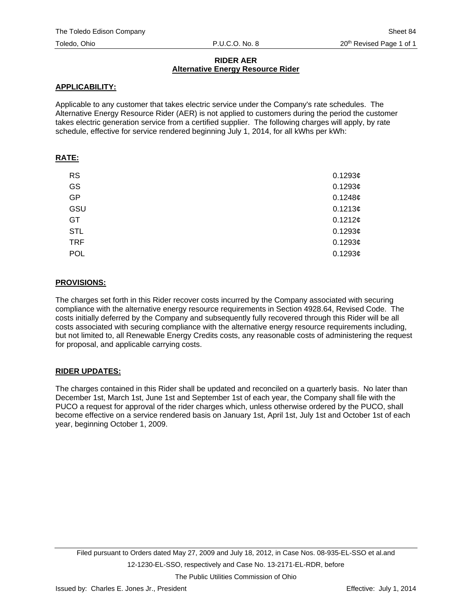#### **RIDER AER Alternative Energy Resource Rider**

#### **APPLICABILITY:**

Applicable to any customer that takes electric service under the Company's rate schedules. The Alternative Energy Resource Rider (AER) is not applied to customers during the period the customer takes electric generation service from a certified supplier. The following charges will apply, by rate schedule, effective for service rendered beginning July 1, 2014, for all kWhs per kWh:

## **RATE:**

| <b>RS</b>  | 0.1293¢ |
|------------|---------|
| GS         | 0.1293¢ |
| <b>GP</b>  | 0.1248¢ |
| GSU        | 0.1213¢ |
| GT         | 0.1212¢ |
| <b>STL</b> | 0.1293¢ |
| <b>TRF</b> | 0.1293c |
| POL        | 0.1293c |

## **PROVISIONS:**

The charges set forth in this Rider recover costs incurred by the Company associated with securing compliance with the alternative energy resource requirements in Section 4928.64, Revised Code. The costs initially deferred by the Company and subsequently fully recovered through this Rider will be all costs associated with securing compliance with the alternative energy resource requirements including, but not limited to, all Renewable Energy Credits costs, any reasonable costs of administering the request for proposal, and applicable carrying costs.

## **RIDER UPDATES:**

The charges contained in this Rider shall be updated and reconciled on a quarterly basis. No later than December 1st, March 1st, June 1st and September 1st of each year, the Company shall file with the PUCO a request for approval of the rider charges which, unless otherwise ordered by the PUCO, shall become effective on a service rendered basis on January 1st, April 1st, July 1st and October 1st of each year, beginning October 1, 2009.

The Public Utilities Commission of Ohio